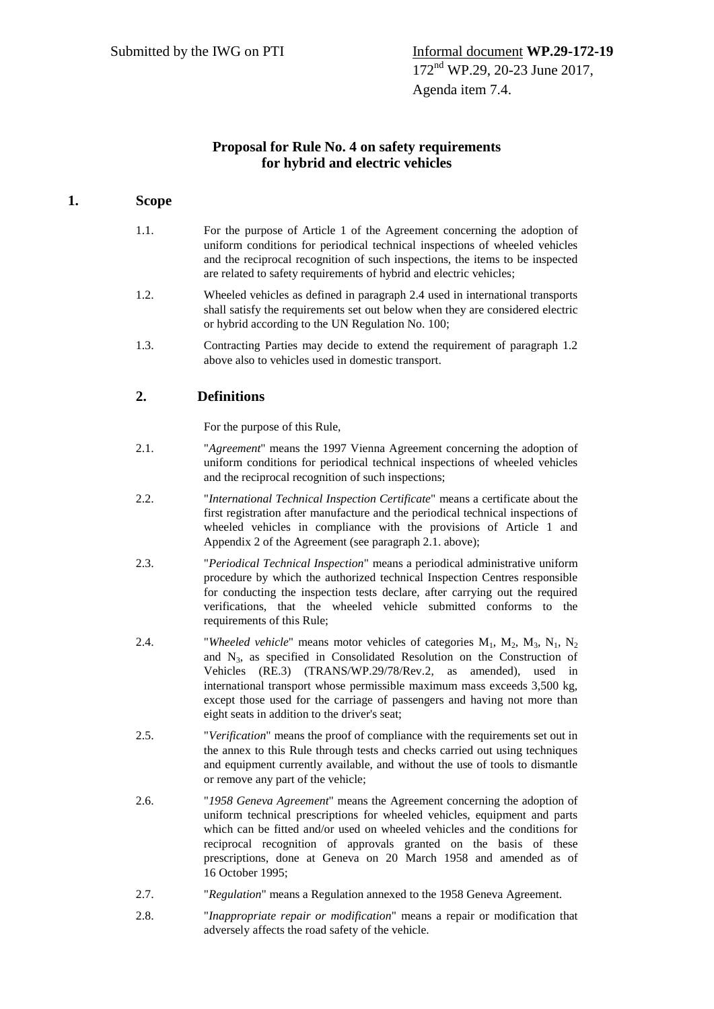## **Proposal for Rule No. 4 on safety requirements for hybrid and electric vehicles**

## **1. Scope**

- 1.1. For the purpose of Article 1 of the Agreement concerning the adoption of uniform conditions for periodical technical inspections of wheeled vehicles and the reciprocal recognition of such inspections, the items to be inspected are related to safety requirements of hybrid and electric vehicles;
- 1.2. Wheeled vehicles as defined in paragraph 2.4 used in international transports shall satisfy the requirements set out below when they are considered electric or hybrid according to the UN Regulation No. 100;
- 1.3. Contracting Parties may decide to extend the requirement of paragraph 1.2 above also to vehicles used in domestic transport.

# **2. Definitions**

For the purpose of this Rule,

- 2.1. "*Agreement*" means the 1997 Vienna Agreement concerning the adoption of uniform conditions for periodical technical inspections of wheeled vehicles and the reciprocal recognition of such inspections;
- 2.2. "*International Technical Inspection Certificate*" means a certificate about the first registration after manufacture and the periodical technical inspections of wheeled vehicles in compliance with the provisions of Article 1 and Appendix 2 of the Agreement (see paragraph 2.1. above);
- 2.3. "*Periodical Technical Inspection*" means a periodical administrative uniform procedure by which the authorized technical Inspection Centres responsible for conducting the inspection tests declare, after carrying out the required verifications, that the wheeled vehicle submitted conforms to the requirements of this Rule;
- 2.4. "*Wheeled vehicle*" means motor vehicles of categories  $M_1$ ,  $M_2$ ,  $M_3$ ,  $N_1$ ,  $N_2$ and  $N_3$ , as specified in Consolidated Resolution on the Construction of Vehicles (RE.3) (TRANS/WP.29/78/Rev.2, as amended), used in international transport whose permissible maximum mass exceeds 3,500 kg, except those used for the carriage of passengers and having not more than eight seats in addition to the driver's seat;
- 2.5. "*Verification*" means the proof of compliance with the requirements set out in the annex to this Rule through tests and checks carried out using techniques and equipment currently available, and without the use of tools to dismantle or remove any part of the vehicle;
- 2.6. "*1958 Geneva Agreement*" means the Agreement concerning the adoption of uniform technical prescriptions for wheeled vehicles, equipment and parts which can be fitted and/or used on wheeled vehicles and the conditions for reciprocal recognition of approvals granted on the basis of these prescriptions, done at Geneva on 20 March 1958 and amended as of 16 October 1995;
- 2.7. "*Regulation*" means a Regulation annexed to the 1958 Geneva Agreement.
- 2.8. "*Inappropriate repair or modification*" means a repair or modification that adversely affects the road safety of the vehicle.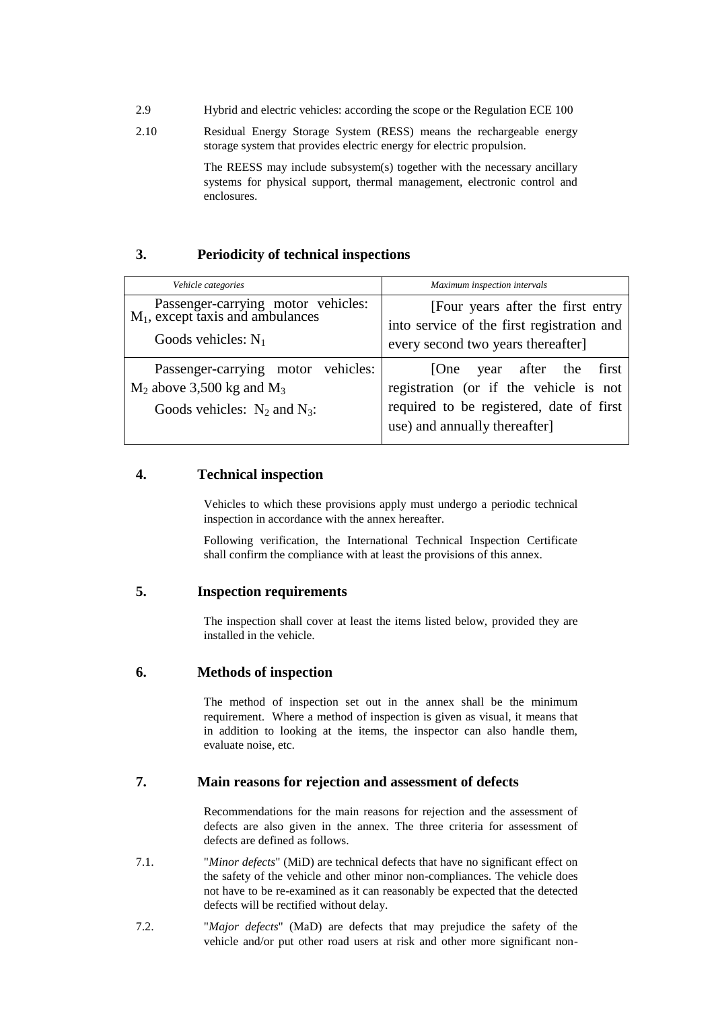- 2.9 Hybrid and electric vehicles: according the scope or the Regulation ECE 100
- 2.10 Residual Energy Storage System (RESS) means the rechargeable energy storage system that provides electric energy for electric propulsion.

The REESS may include subsystem(s) together with the necessary ancillary systems for physical support, thermal management, electronic control and enclosures.

### **3. Periodicity of technical inspections**

| Vehicle categories                                                                                        | Maximum inspection intervals                                                                                                                           |  |  |
|-----------------------------------------------------------------------------------------------------------|--------------------------------------------------------------------------------------------------------------------------------------------------------|--|--|
| Passenger-carrying motor vehicles:<br>$M_1$ , except taxis and ambulances<br>Goods vehicles: $N_1$        | [Four years after the first entry<br>into service of the first registration and<br>every second two years thereafter]                                  |  |  |
| Passenger-carrying motor vehicles:<br>$M_2$ above 3,500 kg and $M_3$<br>Goods vehicles: $N_2$ and $N_3$ : | year after the<br>first<br> One<br>registration (or if the vehicle is not<br>required to be registered, date of first<br>use) and annually thereafter] |  |  |

#### **4. Technical inspection**

Vehicles to which these provisions apply must undergo a periodic technical inspection in accordance with the annex hereafter.

Following verification, the International Technical Inspection Certificate shall confirm the compliance with at least the provisions of this annex.

#### **5. Inspection requirements**

The inspection shall cover at least the items listed below, provided they are installed in the vehicle.

#### **6. Methods of inspection**

The method of inspection set out in the annex shall be the minimum requirement. Where a method of inspection is given as visual, it means that in addition to looking at the items, the inspector can also handle them, evaluate noise, etc.

#### **7. Main reasons for rejection and assessment of defects**

Recommendations for the main reasons for rejection and the assessment of defects are also given in the annex. The three criteria for assessment of defects are defined as follows.

- 7.1. "*Minor defects*" (MiD) are technical defects that have no significant effect on the safety of the vehicle and other minor non-compliances. The vehicle does not have to be re-examined as it can reasonably be expected that the detected defects will be rectified without delay.
- 7.2. "*Major defects*" (MaD) are defects that may prejudice the safety of the vehicle and/or put other road users at risk and other more significant non-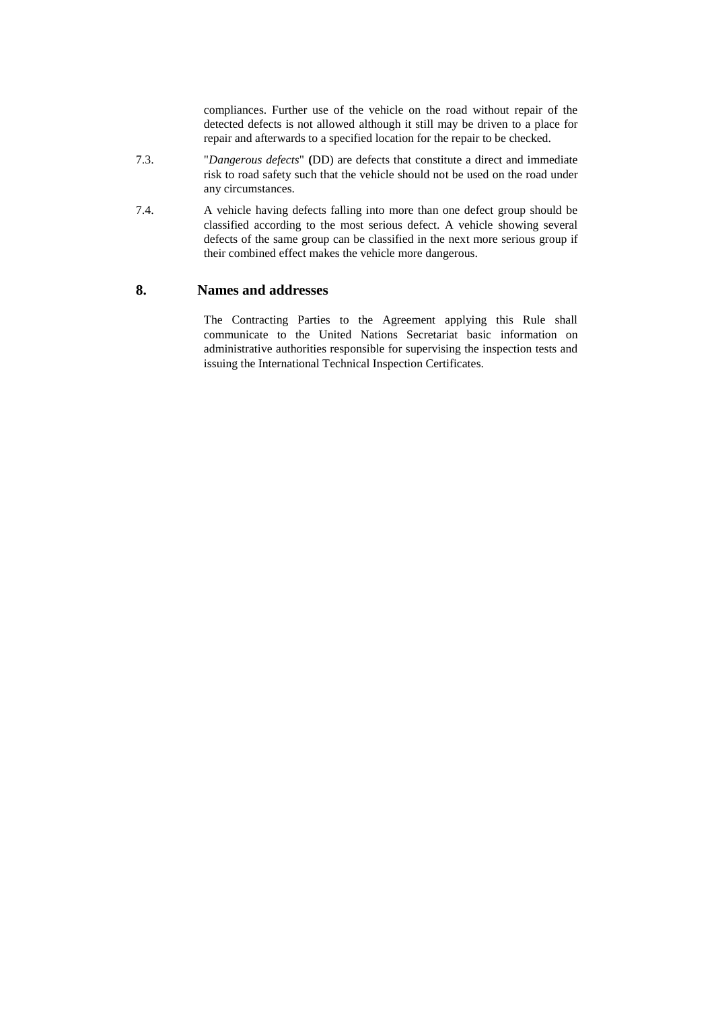compliances. Further use of the vehicle on the road without repair of the detected defects is not allowed although it still may be driven to a place for repair and afterwards to a specified location for the repair to be checked.

- 7.3. "*Dangerous defects*" **(**DD) are defects that constitute a direct and immediate risk to road safety such that the vehicle should not be used on the road under any circumstances.
- 7.4. A vehicle having defects falling into more than one defect group should be classified according to the most serious defect. A vehicle showing several defects of the same group can be classified in the next more serious group if their combined effect makes the vehicle more dangerous.

#### **8. Names and addresses**

The Contracting Parties to the Agreement applying this Rule shall communicate to the United Nations Secretariat basic information on administrative authorities responsible for supervising the inspection tests and issuing the International Technical Inspection Certificates.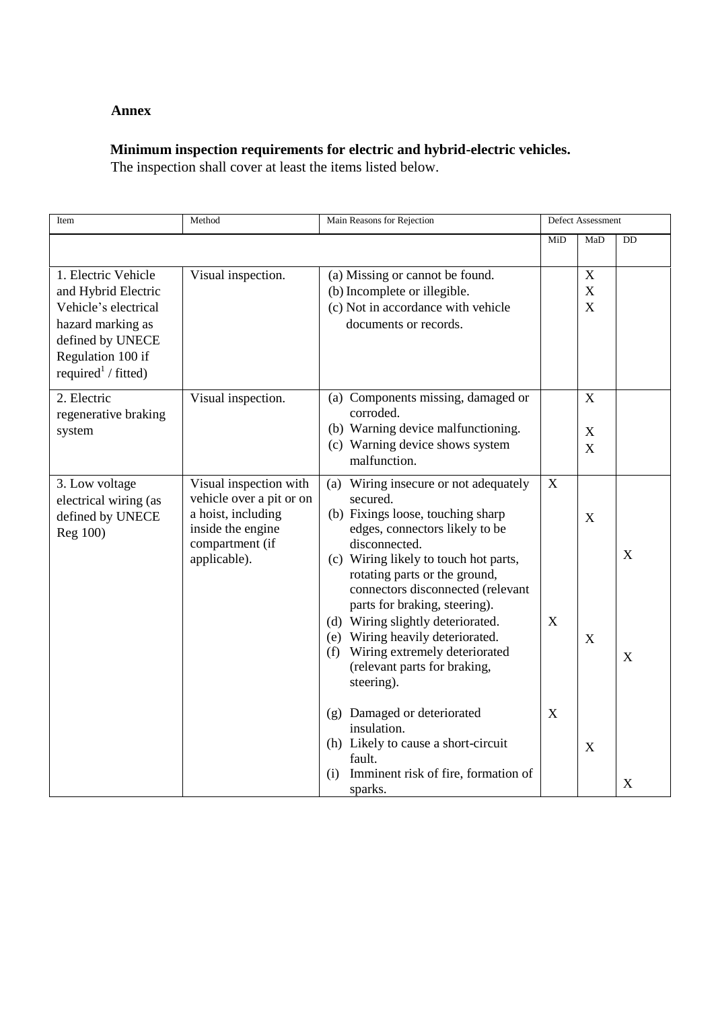## **Annex**

# **Minimum inspection requirements for electric and hybrid-electric vehicles.**

The inspection shall cover at least the items listed below.

| Item                                                                                                                                                                | Method                                                                                                                           | Main Reasons for Rejection                                                                                                                                                                                                                                                                                                                                                                                                                                  |        | Defect Assessment                    |        |
|---------------------------------------------------------------------------------------------------------------------------------------------------------------------|----------------------------------------------------------------------------------------------------------------------------------|-------------------------------------------------------------------------------------------------------------------------------------------------------------------------------------------------------------------------------------------------------------------------------------------------------------------------------------------------------------------------------------------------------------------------------------------------------------|--------|--------------------------------------|--------|
|                                                                                                                                                                     |                                                                                                                                  |                                                                                                                                                                                                                                                                                                                                                                                                                                                             | MiD    | MaD                                  | DD     |
| 1. Electric Vehicle<br>and Hybrid Electric<br>Vehicle's electrical<br>hazard marking as<br>defined by UNECE<br>Regulation 100 if<br>required <sup>1</sup> / fitted) | Visual inspection.                                                                                                               | (a) Missing or cannot be found.<br>(b) Incomplete or illegible.<br>(c) Not in accordance with vehicle<br>documents or records.                                                                                                                                                                                                                                                                                                                              |        | $\boldsymbol{X}$<br>$\mathbf X$<br>X |        |
| 2. Electric<br>regenerative braking<br>system                                                                                                                       | Visual inspection.                                                                                                               | (a) Components missing, damaged or<br>corroded.<br>(b) Warning device malfunctioning.<br>(c) Warning device shows system<br>malfunction.                                                                                                                                                                                                                                                                                                                    |        | X<br>$\boldsymbol{\mathrm{X}}$<br>X  |        |
| 3. Low voltage<br>electrical wiring (as<br>defined by UNECE<br>Reg 100)                                                                                             | Visual inspection with<br>vehicle over a pit or on<br>a hoist, including<br>inside the engine<br>compartment (if<br>applicable). | Wiring insecure or not adequately<br>(a)<br>secured.<br>(b) Fixings loose, touching sharp<br>edges, connectors likely to be<br>disconnected.<br>(c) Wiring likely to touch hot parts,<br>rotating parts or the ground,<br>connectors disconnected (relevant<br>parts for braking, steering).<br>(d) Wiring slightly deteriorated.<br>(e) Wiring heavily deteriorated.<br>Wiring extremely deteriorated<br>(f)<br>(relevant parts for braking,<br>steering). | X<br>X | X<br>X                               | X<br>X |
|                                                                                                                                                                     |                                                                                                                                  | (g) Damaged or deteriorated<br>insulation.<br>(h) Likely to cause a short-circuit<br>fault.<br>Imminent risk of fire, formation of<br>(i)<br>sparks.                                                                                                                                                                                                                                                                                                        | X      | X                                    | X      |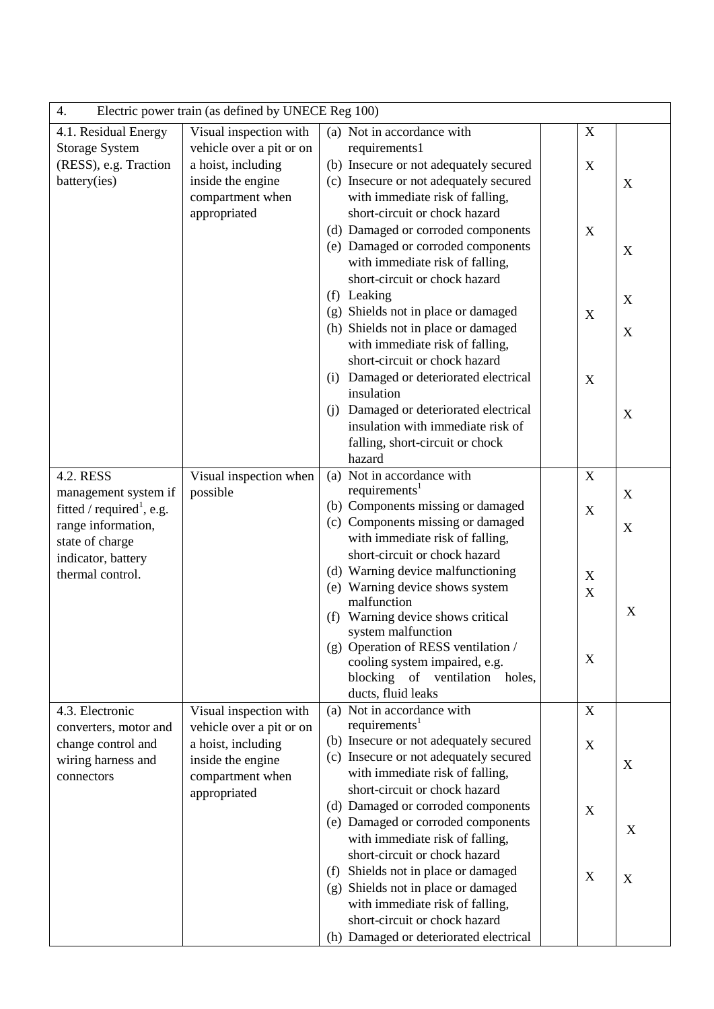| Electric power train (as defined by UNECE Reg 100)<br>4. |                          |     |                                                                  |  |                           |                           |
|----------------------------------------------------------|--------------------------|-----|------------------------------------------------------------------|--|---------------------------|---------------------------|
| 4.1. Residual Energy                                     | Visual inspection with   |     | (a) Not in accordance with                                       |  | X                         |                           |
| <b>Storage System</b>                                    | vehicle over a pit or on |     | requirements1                                                    |  |                           |                           |
| (RESS), e.g. Traction                                    | a hoist, including       |     | (b) Insecure or not adequately secured                           |  | X                         |                           |
| battery(ies)                                             | inside the engine        |     | (c) Insecure or not adequately secured                           |  |                           | X                         |
|                                                          | compartment when         |     | with immediate risk of falling,                                  |  |                           |                           |
|                                                          | appropriated             |     | short-circuit or chock hazard                                    |  |                           |                           |
|                                                          |                          |     | (d) Damaged or corroded components                               |  | X                         |                           |
|                                                          |                          |     | (e) Damaged or corroded components                               |  |                           | $\mathbf X$               |
|                                                          |                          |     | with immediate risk of falling,                                  |  |                           |                           |
|                                                          |                          |     | short-circuit or chock hazard                                    |  |                           |                           |
|                                                          |                          |     | (f) Leaking                                                      |  |                           | X                         |
|                                                          |                          |     | (g) Shields not in place or damaged                              |  | X                         |                           |
|                                                          |                          |     | (h) Shields not in place or damaged                              |  |                           | $\mathbf X$               |
|                                                          |                          |     | with immediate risk of falling,<br>short-circuit or chock hazard |  |                           |                           |
|                                                          |                          | (i) | Damaged or deteriorated electrical                               |  |                           |                           |
|                                                          |                          |     | insulation                                                       |  | $\mathbf X$               |                           |
|                                                          |                          | (i) | Damaged or deteriorated electrical                               |  |                           |                           |
|                                                          |                          |     | insulation with immediate risk of                                |  |                           | $\mathbf X$               |
|                                                          |                          |     | falling, short-circuit or chock                                  |  |                           |                           |
|                                                          |                          |     | hazard                                                           |  |                           |                           |
| 4.2. RESS                                                | Visual inspection when   | (a) | Not in accordance with                                           |  | X                         |                           |
| management system if                                     | possible                 |     | requirements <sup>1</sup>                                        |  |                           | $\mathbf X$               |
| fitted / required <sup>1</sup> , e.g.                    |                          |     | (b) Components missing or damaged                                |  | $\boldsymbol{\mathrm{X}}$ |                           |
| range information,                                       |                          |     | (c) Components missing or damaged                                |  |                           | X                         |
| state of charge                                          |                          |     | with immediate risk of falling,                                  |  |                           |                           |
| indicator, battery                                       |                          |     | short-circuit or chock hazard                                    |  |                           |                           |
| thermal control.                                         |                          |     | (d) Warning device malfunctioning                                |  | X                         |                           |
|                                                          |                          |     | (e) Warning device shows system                                  |  | X                         |                           |
|                                                          |                          |     | malfunction                                                      |  |                           | X                         |
|                                                          |                          | (f) | Warning device shows critical                                    |  |                           |                           |
|                                                          |                          |     | system malfunction<br>(g) Operation of RESS ventilation /        |  |                           |                           |
|                                                          |                          |     | cooling system impaired, e.g.                                    |  | X                         |                           |
|                                                          |                          |     | blocking of ventilation<br>holes,                                |  |                           |                           |
|                                                          |                          |     | ducts, fluid leaks                                               |  |                           |                           |
| 4.3. Electronic                                          | Visual inspection with   |     | (a) Not in accordance with                                       |  | X                         |                           |
| converters, motor and                                    | vehicle over a pit or on |     | requirements <sup>1</sup>                                        |  |                           |                           |
| change control and                                       | a hoist, including       |     | (b) Insecure or not adequately secured                           |  | X                         |                           |
| wiring harness and                                       | inside the engine        |     | (c) Insecure or not adequately secured                           |  |                           | X                         |
| connectors                                               | compartment when         |     | with immediate risk of falling,                                  |  |                           |                           |
|                                                          | appropriated             |     | short-circuit or chock hazard                                    |  |                           |                           |
|                                                          |                          |     | (d) Damaged or corroded components                               |  | X                         |                           |
|                                                          |                          |     | (e) Damaged or corroded components                               |  |                           | X                         |
|                                                          |                          |     | with immediate risk of falling,                                  |  |                           |                           |
|                                                          |                          |     | short-circuit or chock hazard                                    |  |                           |                           |
|                                                          |                          | (f) | Shields not in place or damaged                                  |  | X                         | $\boldsymbol{\mathrm{X}}$ |
|                                                          |                          | (g) | Shields not in place or damaged                                  |  |                           |                           |
|                                                          |                          |     | with immediate risk of falling,<br>short-circuit or chock hazard |  |                           |                           |
|                                                          |                          |     | (h) Damaged or deteriorated electrical                           |  |                           |                           |
|                                                          |                          |     |                                                                  |  |                           |                           |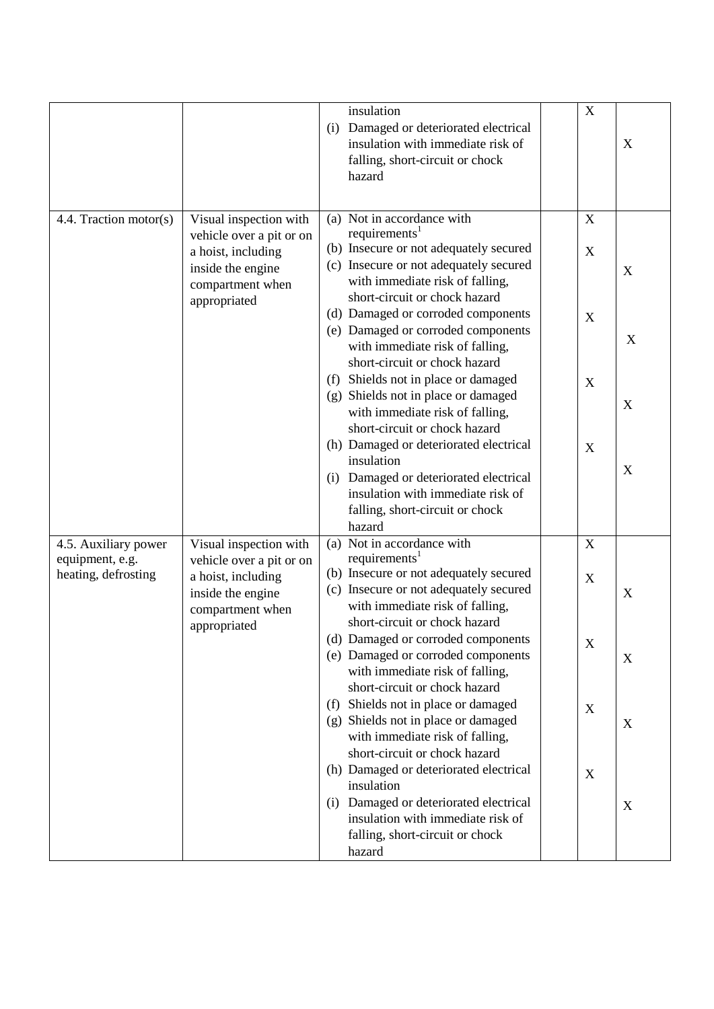|                        |                          |     | insulation                             | $\mathbf X$ |   |
|------------------------|--------------------------|-----|----------------------------------------|-------------|---|
|                        |                          |     |                                        |             |   |
|                        |                          | (i) | Damaged or deteriorated electrical     |             |   |
|                        |                          |     | insulation with immediate risk of      |             | X |
|                        |                          |     | falling, short-circuit or chock        |             |   |
|                        |                          |     | hazard                                 |             |   |
|                        |                          |     |                                        |             |   |
| 4.4. Traction motor(s) | Visual inspection with   |     | (a) Not in accordance with             | $\mathbf X$ |   |
|                        | vehicle over a pit or on |     | requirements <sup>1</sup>              |             |   |
|                        | a hoist, including       |     | (b) Insecure or not adequately secured | X           |   |
|                        |                          |     | (c) Insecure or not adequately secured |             |   |
|                        | inside the engine        |     | with immediate risk of falling,        |             | X |
|                        | compartment when         |     | short-circuit or chock hazard          |             |   |
|                        | appropriated             |     | (d) Damaged or corroded components     |             |   |
|                        |                          |     |                                        | X           |   |
|                        |                          |     | (e) Damaged or corroded components     |             | X |
|                        |                          |     | with immediate risk of falling,        |             |   |
|                        |                          |     | short-circuit or chock hazard          |             |   |
|                        |                          | (f) | Shields not in place or damaged        | X           |   |
|                        |                          |     | (g) Shields not in place or damaged    |             | X |
|                        |                          |     | with immediate risk of falling,        |             |   |
|                        |                          |     | short-circuit or chock hazard          |             |   |
|                        |                          |     | (h) Damaged or deteriorated electrical | X           |   |
|                        |                          |     | insulation                             |             | X |
|                        |                          | (i) | Damaged or deteriorated electrical     |             |   |
|                        |                          |     | insulation with immediate risk of      |             |   |
|                        |                          |     | falling, short-circuit or chock        |             |   |
|                        |                          |     | hazard                                 |             |   |
| 4.5. Auxiliary power   | Visual inspection with   |     | (a) Not in accordance with             | $\mathbf X$ |   |
| equipment, e.g.        | vehicle over a pit or on |     | requirements <sup>1</sup>              |             |   |
| heating, defrosting    | a hoist, including       |     | (b) Insecure or not adequately secured | X           |   |
|                        | inside the engine        |     | (c) Insecure or not adequately secured |             | X |
|                        | compartment when         |     | with immediate risk of falling,        |             |   |
|                        | appropriated             |     | short-circuit or chock hazard          |             |   |
|                        |                          |     | (d) Damaged or corroded components     | X           |   |
|                        |                          |     | (e) Damaged or corroded components     |             | X |
|                        |                          |     | with immediate risk of falling,        |             |   |
|                        |                          |     | short-circuit or chock hazard          |             |   |
|                        |                          | (f) | Shields not in place or damaged        | X           |   |
|                        |                          | (g) | Shields not in place or damaged        |             | X |
|                        |                          |     | with immediate risk of falling,        |             |   |
|                        |                          |     | short-circuit or chock hazard          |             |   |
|                        |                          |     | (h) Damaged or deteriorated electrical | X           |   |
|                        |                          |     | insulation                             |             |   |
|                        |                          | (i) | Damaged or deteriorated electrical     |             | X |
|                        |                          |     | insulation with immediate risk of      |             |   |
|                        |                          |     | falling, short-circuit or chock        |             |   |
|                        |                          |     | hazard                                 |             |   |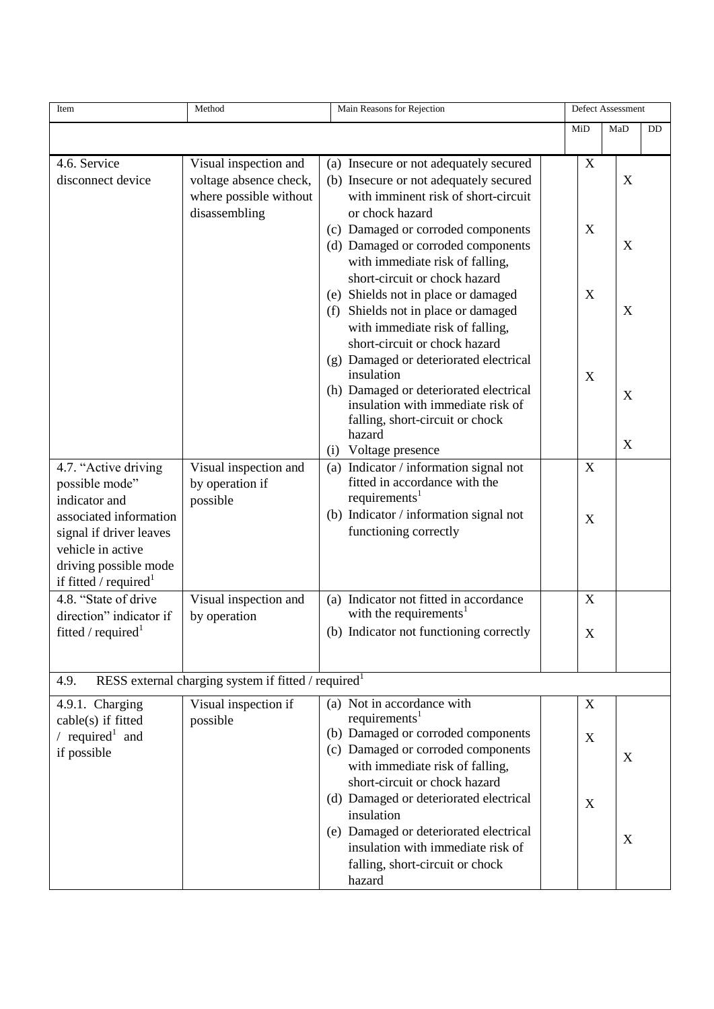| Item                                            | Method                                                          | Main Reasons for Rejection                                                  | Defect Assessment |     |    |
|-------------------------------------------------|-----------------------------------------------------------------|-----------------------------------------------------------------------------|-------------------|-----|----|
|                                                 |                                                                 |                                                                             | MiD               | MaD | DD |
|                                                 |                                                                 |                                                                             |                   |     |    |
| 4.6. Service                                    | Visual inspection and                                           | (a) Insecure or not adequately secured                                      | X                 |     |    |
| disconnect device                               | voltage absence check,                                          | (b) Insecure or not adequately secured                                      |                   | X   |    |
|                                                 | where possible without                                          | with imminent risk of short-circuit                                         |                   |     |    |
|                                                 | disassembling                                                   | or chock hazard                                                             |                   |     |    |
|                                                 |                                                                 | (c) Damaged or corroded components                                          | X                 |     |    |
|                                                 |                                                                 | (d) Damaged or corroded components<br>with immediate risk of falling,       |                   | X   |    |
|                                                 |                                                                 | short-circuit or chock hazard                                               |                   |     |    |
|                                                 |                                                                 | Shields not in place or damaged<br>(e)                                      | X                 |     |    |
|                                                 |                                                                 | Shields not in place or damaged<br>(f)                                      |                   | X   |    |
|                                                 |                                                                 | with immediate risk of falling,                                             |                   |     |    |
|                                                 |                                                                 | short-circuit or chock hazard                                               |                   |     |    |
|                                                 |                                                                 | Damaged or deteriorated electrical<br>(g)                                   |                   |     |    |
|                                                 |                                                                 | insulation                                                                  | X                 |     |    |
|                                                 |                                                                 | (h) Damaged or deteriorated electrical                                      |                   | X   |    |
|                                                 |                                                                 | insulation with immediate risk of<br>falling, short-circuit or chock        |                   |     |    |
|                                                 |                                                                 | hazard                                                                      |                   |     |    |
|                                                 |                                                                 | Voltage presence<br>(i)                                                     |                   | X   |    |
| 4.7. "Active driving                            | Visual inspection and                                           | Indicator / information signal not<br>(a)                                   | X                 |     |    |
| possible mode"                                  | by operation if                                                 | fitted in accordance with the                                               |                   |     |    |
| indicator and                                   | possible                                                        | requirements <sup>1</sup>                                                   |                   |     |    |
| associated information                          |                                                                 | (b) Indicator / information signal not                                      | X                 |     |    |
| signal if driver leaves                         |                                                                 | functioning correctly                                                       |                   |     |    |
| vehicle in active                               |                                                                 |                                                                             |                   |     |    |
| driving possible mode                           |                                                                 |                                                                             |                   |     |    |
| if fitted / required $^1$                       |                                                                 | (a) Indicator not fitted in accordance                                      |                   |     |    |
| 4.8. "State of drive<br>direction" indicator if | Visual inspection and                                           | with the requirements <sup>1</sup>                                          | $\mathbf X$       |     |    |
| fitted / $required1$                            | by operation                                                    | (b) Indicator not functioning correctly                                     |                   |     |    |
|                                                 |                                                                 |                                                                             | X                 |     |    |
|                                                 |                                                                 |                                                                             |                   |     |    |
| 4.9.                                            | RESS external charging system if fitted / required <sup>1</sup> |                                                                             |                   |     |    |
| 4.9.1. Charging                                 | Visual inspection if                                            | (a) Not in accordance with                                                  | X                 |     |    |
| cable(s) if fitted                              | possible                                                        | requirements <sup>1</sup>                                                   |                   |     |    |
| / required <sup>1</sup> and                     |                                                                 | (b) Damaged or corroded components                                          | X                 |     |    |
| if possible                                     |                                                                 | (c) Damaged or corroded components                                          |                   | X   |    |
|                                                 |                                                                 | with immediate risk of falling,                                             |                   |     |    |
|                                                 |                                                                 | short-circuit or chock hazard                                               |                   |     |    |
|                                                 |                                                                 | (d) Damaged or deteriorated electrical                                      | X                 |     |    |
|                                                 |                                                                 | insulation                                                                  |                   |     |    |
|                                                 |                                                                 | (e) Damaged or deteriorated electrical<br>insulation with immediate risk of |                   | X   |    |
|                                                 |                                                                 | falling, short-circuit or chock                                             |                   |     |    |
|                                                 |                                                                 | hazard                                                                      |                   |     |    |
|                                                 |                                                                 |                                                                             |                   |     |    |